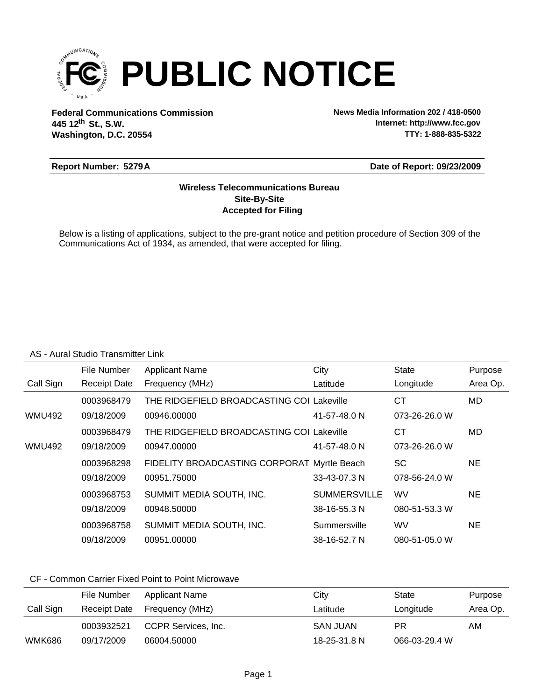

**Federal Communications Commission News Media Information 202 / 418-0500 Washington, D.C. 20554 th 445 12 St., S.W.**

**Internet: http://www.fcc.gov TTY: 1-888-835-5322**

### **Report Number: 5279A**

#### **Date of Report: 09/23/2009**

### **Accepted for Filing Site-By-Site Wireless Telecommunications Bureau**

Below is a listing of applications, subject to the pre-grant notice and petition procedure of Section 309 of the Communications Act of 1934, as amended, that were accepted for filing.

#### AS - Aural Studio Transmitter Link

|               | File Number         | <b>Applicant Name</b>                       | City                | <b>State</b>        | Purpose   |
|---------------|---------------------|---------------------------------------------|---------------------|---------------------|-----------|
| Call Sign     | <b>Receipt Date</b> | Frequency (MHz)                             | Latitude            | Longitude           | Area Op.  |
|               | 0003968479          | THE RIDGEFIELD BROADCASTING COI Lakeville   |                     | СT                  | MD.       |
| <b>WMU492</b> | 09/18/2009          | 00946.00000                                 | 41-57-48.0 N        | 073-26-26.0 W       |           |
|               | 0003968479          | THE RIDGEFIELD BROADCASTING COI Lakeville   |                     | СT                  | MD.       |
| <b>WMU492</b> | 09/18/2009          | 00947.00000                                 | 41-57-48.0 N        | $073 - 26 - 26.0 W$ |           |
|               | 0003968298          | FIDELITY BROADCASTING CORPORAT Myrtle Beach |                     | <b>SC</b>           | <b>NE</b> |
|               | 09/18/2009          | 00951.75000                                 | 33-43-07.3 N        | 078-56-24.0 W       |           |
|               | 0003968753          | SUMMIT MEDIA SOUTH, INC.                    | <b>SUMMERSVILLE</b> | <b>WV</b>           | NE.       |
|               | 09/18/2009          | 00948.50000                                 | 38-16-55.3 N        | 080-51-53.3 W       |           |
|               | 0003968758          | SUMMIT MEDIA SOUTH, INC.                    | Summersville        | <b>WV</b>           | NE.       |
|               | 09/18/2009          | 00951.00000                                 | 38-16-52.7 N        | 080-51-05.0 W       |           |

|           | File Number  | Applicant Name      | City            | State         | Purpose  |
|-----------|--------------|---------------------|-----------------|---------------|----------|
| Call Sign | Receipt Date | Frequency (MHz)     | Latitude        | Longitude     | Area Op. |
|           | 0003932521   | CCPR Services, Inc. | <b>SAN JUAN</b> | РR            | AM.      |
| WMK686    | 09/17/2009   | 06004.50000         | 18-25-31.8 N    | 066-03-29.4 W |          |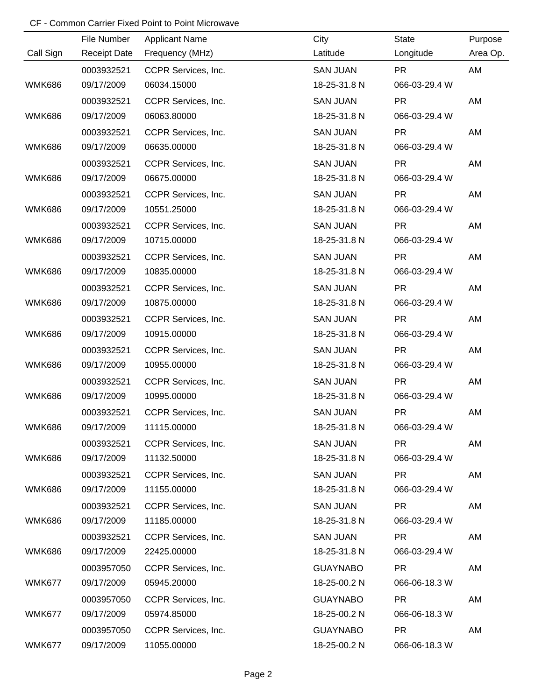|               | File Number         | <b>Applicant Name</b> | City            | State         | Purpose  |
|---------------|---------------------|-----------------------|-----------------|---------------|----------|
| Call Sign     | <b>Receipt Date</b> | Frequency (MHz)       | Latitude        | Longitude     | Area Op. |
|               | 0003932521          | CCPR Services, Inc.   | <b>SAN JUAN</b> | <b>PR</b>     | AM       |
| <b>WMK686</b> | 09/17/2009          | 06034.15000           | 18-25-31.8 N    | 066-03-29.4 W |          |
|               | 0003932521          | CCPR Services, Inc.   | <b>SAN JUAN</b> | <b>PR</b>     | AM       |
| <b>WMK686</b> | 09/17/2009          | 06063.80000           | 18-25-31.8 N    | 066-03-29.4 W |          |
|               | 0003932521          | CCPR Services, Inc.   | <b>SAN JUAN</b> | <b>PR</b>     | AM       |
| <b>WMK686</b> | 09/17/2009          | 06635.00000           | 18-25-31.8 N    | 066-03-29.4 W |          |
|               | 0003932521          | CCPR Services, Inc.   | <b>SAN JUAN</b> | <b>PR</b>     | AM       |
| <b>WMK686</b> | 09/17/2009          | 06675.00000           | 18-25-31.8 N    | 066-03-29.4 W |          |
|               | 0003932521          | CCPR Services, Inc.   | <b>SAN JUAN</b> | <b>PR</b>     | AM       |
| <b>WMK686</b> | 09/17/2009          | 10551.25000           | 18-25-31.8 N    | 066-03-29.4 W |          |
|               | 0003932521          | CCPR Services, Inc.   | <b>SAN JUAN</b> | <b>PR</b>     | AM       |
| <b>WMK686</b> | 09/17/2009          | 10715.00000           | 18-25-31.8 N    | 066-03-29.4 W |          |
|               | 0003932521          | CCPR Services, Inc.   | <b>SAN JUAN</b> | <b>PR</b>     | AM       |
| <b>WMK686</b> | 09/17/2009          | 10835.00000           | 18-25-31.8 N    | 066-03-29.4 W |          |
|               | 0003932521          | CCPR Services, Inc.   | <b>SAN JUAN</b> | <b>PR</b>     | AM       |
| <b>WMK686</b> | 09/17/2009          | 10875.00000           | 18-25-31.8 N    | 066-03-29.4 W |          |
|               | 0003932521          | CCPR Services, Inc.   | <b>SAN JUAN</b> | <b>PR</b>     | AM       |
| <b>WMK686</b> | 09/17/2009          | 10915.00000           | 18-25-31.8 N    | 066-03-29.4 W |          |
|               | 0003932521          | CCPR Services, Inc.   | <b>SAN JUAN</b> | <b>PR</b>     | AM       |
| <b>WMK686</b> | 09/17/2009          | 10955.00000           | 18-25-31.8 N    | 066-03-29.4 W |          |
|               | 0003932521          | CCPR Services, Inc.   | <b>SAN JUAN</b> | <b>PR</b>     | AM       |
| <b>WMK686</b> | 09/17/2009          | 10995.00000           | 18-25-31.8 N    | 066-03-29.4 W |          |
|               | 0003932521          | CCPR Services, Inc.   | <b>SAN JUAN</b> | <b>PR</b>     | AM       |
| <b>WMK686</b> | 09/17/2009          | 11115.00000           | 18-25-31.8 N    | 066-03-29.4 W |          |
|               | 0003932521          | CCPR Services, Inc.   | <b>SAN JUAN</b> | <b>PR</b>     | AM       |
| <b>WMK686</b> | 09/17/2009          | 11132.50000           | 18-25-31.8 N    | 066-03-29.4 W |          |
|               | 0003932521          | CCPR Services, Inc.   | <b>SAN JUAN</b> | <b>PR</b>     | AM       |
| <b>WMK686</b> | 09/17/2009          | 11155.00000           | 18-25-31.8 N    | 066-03-29.4 W |          |
|               | 0003932521          | CCPR Services, Inc.   | <b>SAN JUAN</b> | <b>PR</b>     | AM       |
| <b>WMK686</b> | 09/17/2009          | 11185.00000           | 18-25-31.8 N    | 066-03-29.4 W |          |
|               | 0003932521          | CCPR Services, Inc.   | <b>SAN JUAN</b> | <b>PR</b>     | AM       |
| <b>WMK686</b> | 09/17/2009          | 22425.00000           | 18-25-31.8 N    | 066-03-29.4 W |          |
|               | 0003957050          | CCPR Services, Inc.   | <b>GUAYNABO</b> | <b>PR</b>     | AM       |
| <b>WMK677</b> | 09/17/2009          | 05945.20000           | 18-25-00.2 N    | 066-06-18.3 W |          |
|               | 0003957050          | CCPR Services, Inc.   | <b>GUAYNABO</b> | <b>PR</b>     | AM       |
| <b>WMK677</b> | 09/17/2009          | 05974.85000           | 18-25-00.2 N    | 066-06-18.3 W |          |
|               | 0003957050          | CCPR Services, Inc.   | <b>GUAYNABO</b> | <b>PR</b>     | AM       |
| <b>WMK677</b> | 09/17/2009          | 11055.00000           | 18-25-00.2 N    | 066-06-18.3 W |          |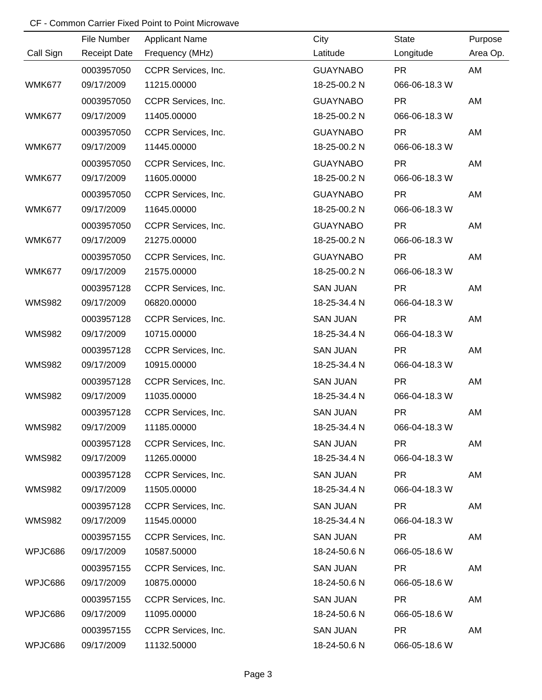|               | File Number         | <b>Applicant Name</b> | City            | State         | Purpose  |
|---------------|---------------------|-----------------------|-----------------|---------------|----------|
| Call Sign     | <b>Receipt Date</b> | Frequency (MHz)       | Latitude        | Longitude     | Area Op. |
|               | 0003957050          | CCPR Services, Inc.   | <b>GUAYNABO</b> | <b>PR</b>     | AM       |
| <b>WMK677</b> | 09/17/2009          | 11215.00000           | 18-25-00.2 N    | 066-06-18.3 W |          |
|               | 0003957050          | CCPR Services, Inc.   | <b>GUAYNABO</b> | <b>PR</b>     | AM       |
| <b>WMK677</b> | 09/17/2009          | 11405.00000           | 18-25-00.2 N    | 066-06-18.3 W |          |
|               | 0003957050          | CCPR Services, Inc.   | <b>GUAYNABO</b> | <b>PR</b>     | AM       |
| <b>WMK677</b> | 09/17/2009          | 11445.00000           | 18-25-00.2 N    | 066-06-18.3 W |          |
|               | 0003957050          | CCPR Services, Inc.   | <b>GUAYNABO</b> | <b>PR</b>     | AM       |
| <b>WMK677</b> | 09/17/2009          | 11605.00000           | 18-25-00.2 N    | 066-06-18.3 W |          |
|               | 0003957050          | CCPR Services, Inc.   | <b>GUAYNABO</b> | <b>PR</b>     | AM       |
| <b>WMK677</b> | 09/17/2009          | 11645.00000           | 18-25-00.2 N    | 066-06-18.3 W |          |
|               | 0003957050          | CCPR Services, Inc.   | <b>GUAYNABO</b> | <b>PR</b>     | AM       |
| <b>WMK677</b> | 09/17/2009          | 21275.00000           | 18-25-00.2 N    | 066-06-18.3 W |          |
|               | 0003957050          | CCPR Services, Inc.   | <b>GUAYNABO</b> | <b>PR</b>     | AM       |
| <b>WMK677</b> | 09/17/2009          | 21575.00000           | 18-25-00.2 N    | 066-06-18.3 W |          |
|               | 0003957128          | CCPR Services, Inc.   | <b>SAN JUAN</b> | <b>PR</b>     | AM       |
| <b>WMS982</b> | 09/17/2009          | 06820.00000           | 18-25-34.4 N    | 066-04-18.3 W |          |
|               | 0003957128          | CCPR Services, Inc.   | <b>SAN JUAN</b> | <b>PR</b>     | AM       |
| <b>WMS982</b> | 09/17/2009          | 10715.00000           | 18-25-34.4 N    | 066-04-18.3 W |          |
|               | 0003957128          | CCPR Services, Inc.   | <b>SAN JUAN</b> | <b>PR</b>     | AM       |
| <b>WMS982</b> | 09/17/2009          | 10915.00000           | 18-25-34.4 N    | 066-04-18.3 W |          |
|               | 0003957128          | CCPR Services, Inc.   | <b>SAN JUAN</b> | <b>PR</b>     | AM       |
| <b>WMS982</b> | 09/17/2009          | 11035.00000           | 18-25-34.4 N    | 066-04-18.3 W |          |
|               | 0003957128          | CCPR Services, Inc.   | <b>SAN JUAN</b> | <b>PR</b>     | AM       |
| <b>WMS982</b> | 09/17/2009          | 11185.00000           | 18-25-34.4 N    | 066-04-18.3 W |          |
|               | 0003957128          | CCPR Services, Inc.   | <b>SAN JUAN</b> | <b>PR</b>     | AM       |
| <b>WMS982</b> | 09/17/2009          | 11265.00000           | 18-25-34.4 N    | 066-04-18.3 W |          |
|               | 0003957128          | CCPR Services, Inc.   | <b>SAN JUAN</b> | <b>PR</b>     | AM       |
| <b>WMS982</b> | 09/17/2009          | 11505.00000           | 18-25-34.4 N    | 066-04-18.3 W |          |
|               | 0003957128          | CCPR Services, Inc.   | <b>SAN JUAN</b> | <b>PR</b>     | AM       |
| <b>WMS982</b> | 09/17/2009          | 11545.00000           | 18-25-34.4 N    | 066-04-18.3 W |          |
|               | 0003957155          | CCPR Services, Inc.   | <b>SAN JUAN</b> | <b>PR</b>     | AM       |
| WPJC686       | 09/17/2009          | 10587.50000           | 18-24-50.6 N    | 066-05-18.6 W |          |
|               | 0003957155          | CCPR Services, Inc.   | <b>SAN JUAN</b> | <b>PR</b>     | AM       |
| WPJC686       | 09/17/2009          | 10875.00000           | 18-24-50.6 N    | 066-05-18.6 W |          |
|               | 0003957155          | CCPR Services, Inc.   | <b>SAN JUAN</b> | <b>PR</b>     | AM       |
| WPJC686       | 09/17/2009          | 11095.00000           | 18-24-50.6 N    | 066-05-18.6 W |          |
|               | 0003957155          | CCPR Services, Inc.   | <b>SAN JUAN</b> | <b>PR</b>     | AM       |
| WPJC686       | 09/17/2009          | 11132.50000           | 18-24-50.6 N    | 066-05-18.6 W |          |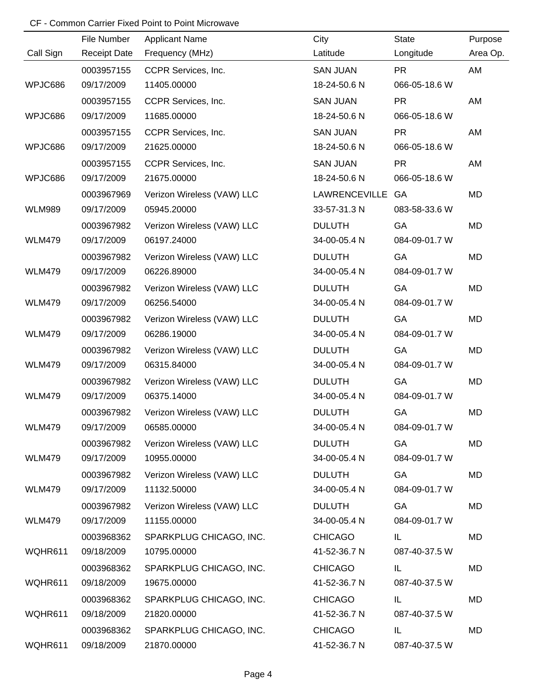|               | File Number         | <b>Applicant Name</b>      | City             | <b>State</b>  | Purpose  |
|---------------|---------------------|----------------------------|------------------|---------------|----------|
| Call Sign     | <b>Receipt Date</b> | Frequency (MHz)            | Latitude         | Longitude     | Area Op. |
|               | 0003957155          | CCPR Services, Inc.        | <b>SAN JUAN</b>  | <b>PR</b>     | AM       |
| WPJC686       | 09/17/2009          | 11405.00000                | 18-24-50.6 N     | 066-05-18.6 W |          |
|               | 0003957155          | CCPR Services, Inc.        | <b>SAN JUAN</b>  | <b>PR</b>     | AM       |
| WPJC686       | 09/17/2009          | 11685.00000                | 18-24-50.6 N     | 066-05-18.6 W |          |
|               | 0003957155          | CCPR Services, Inc.        | <b>SAN JUAN</b>  | <b>PR</b>     | AM       |
| WPJC686       | 09/17/2009          | 21625.00000                | 18-24-50.6 N     | 066-05-18.6 W |          |
|               | 0003957155          | CCPR Services, Inc.        | <b>SAN JUAN</b>  | <b>PR</b>     | AM       |
| WPJC686       | 09/17/2009          | 21675.00000                | 18-24-50.6 N     | 066-05-18.6 W |          |
|               | 0003967969          | Verizon Wireless (VAW) LLC | LAWRENCEVILLE GA |               | MD       |
| <b>WLM989</b> | 09/17/2009          | 05945.20000                | 33-57-31.3 N     | 083-58-33.6 W |          |
|               | 0003967982          | Verizon Wireless (VAW) LLC | <b>DULUTH</b>    | GA            | MD       |
| <b>WLM479</b> | 09/17/2009          | 06197.24000                | 34-00-05.4 N     | 084-09-01.7 W |          |
|               | 0003967982          | Verizon Wireless (VAW) LLC | <b>DULUTH</b>    | GA            | MD       |
| <b>WLM479</b> | 09/17/2009          | 06226.89000                | 34-00-05.4 N     | 084-09-01.7 W |          |
|               | 0003967982          | Verizon Wireless (VAW) LLC | <b>DULUTH</b>    | GA            | MD       |
| <b>WLM479</b> | 09/17/2009          | 06256.54000                | 34-00-05.4 N     | 084-09-01.7 W |          |
|               | 0003967982          | Verizon Wireless (VAW) LLC | <b>DULUTH</b>    | GA            | MD       |
| <b>WLM479</b> | 09/17/2009          | 06286.19000                | 34-00-05.4 N     | 084-09-01.7 W |          |
|               | 0003967982          | Verizon Wireless (VAW) LLC | <b>DULUTH</b>    | GA            | MD       |
| <b>WLM479</b> | 09/17/2009          | 06315.84000                | 34-00-05.4 N     | 084-09-01.7 W |          |
|               | 0003967982          | Verizon Wireless (VAW) LLC | <b>DULUTH</b>    | GA            | MD       |
| <b>WLM479</b> | 09/17/2009          | 06375.14000                | 34-00-05.4 N     | 084-09-01.7 W |          |
|               | 0003967982          | Verizon Wireless (VAW) LLC | <b>DULUTH</b>    | GA            | MD       |
| <b>WLM479</b> | 09/17/2009          | 06585.00000                | 34-00-05.4 N     | 084-09-01.7 W |          |
|               | 0003967982          | Verizon Wireless (VAW) LLC | <b>DULUTH</b>    | GA            | MD       |
| <b>WLM479</b> | 09/17/2009          | 10955.00000                | 34-00-05.4 N     | 084-09-01.7 W |          |
|               | 0003967982          | Verizon Wireless (VAW) LLC | <b>DULUTH</b>    | GA            | MD       |
| <b>WLM479</b> | 09/17/2009          | 11132.50000                | 34-00-05.4 N     | 084-09-01.7 W |          |
|               | 0003967982          | Verizon Wireless (VAW) LLC | <b>DULUTH</b>    | GA            | MD       |
| <b>WLM479</b> | 09/17/2009          | 11155.00000                | 34-00-05.4 N     | 084-09-01.7 W |          |
|               | 0003968362          | SPARKPLUG CHICAGO, INC.    | <b>CHICAGO</b>   | IL.           | MD       |
| WQHR611       | 09/18/2009          | 10795.00000                | 41-52-36.7 N     | 087-40-37.5 W |          |
|               | 0003968362          | SPARKPLUG CHICAGO, INC.    | <b>CHICAGO</b>   | IL            | MD       |
| WQHR611       | 09/18/2009          | 19675.00000                | 41-52-36.7 N     | 087-40-37.5 W |          |
|               | 0003968362          | SPARKPLUG CHICAGO, INC.    | <b>CHICAGO</b>   | IL            | MD       |
| WQHR611       | 09/18/2009          | 21820.00000                | 41-52-36.7 N     | 087-40-37.5 W |          |
|               | 0003968362          | SPARKPLUG CHICAGO, INC.    | <b>CHICAGO</b>   | IL            | MD       |
| WQHR611       | 09/18/2009          | 21870.00000                | 41-52-36.7 N     | 087-40-37.5 W |          |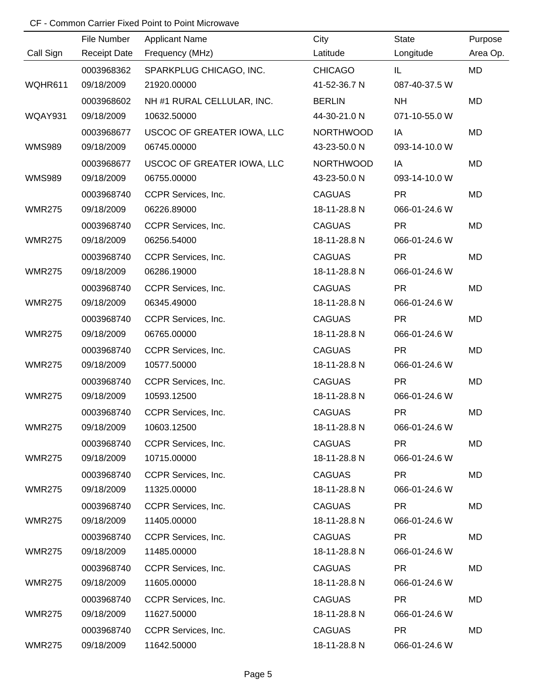|                | File Number         | <b>Applicant Name</b>      | City             | <b>State</b>  | Purpose   |
|----------------|---------------------|----------------------------|------------------|---------------|-----------|
| Call Sign      | <b>Receipt Date</b> | Frequency (MHz)            | Latitude         | Longitude     | Area Op.  |
|                | 0003968362          | SPARKPLUG CHICAGO, INC.    | <b>CHICAGO</b>   | IL            | MD        |
| WQHR611        | 09/18/2009          | 21920.00000                | 41-52-36.7 N     | 087-40-37.5 W |           |
|                | 0003968602          | NH #1 RURAL CELLULAR, INC. | <b>BERLIN</b>    | <b>NH</b>     | MD        |
| <b>WQAY931</b> | 09/18/2009          | 10632.50000                | 44-30-21.0 N     | 071-10-55.0 W |           |
|                | 0003968677          | USCOC OF GREATER IOWA, LLC | <b>NORTHWOOD</b> | IA            | MD        |
| <b>WMS989</b>  | 09/18/2009          | 06745.00000                | 43-23-50.0 N     | 093-14-10.0 W |           |
|                | 0003968677          | USCOC OF GREATER IOWA, LLC | <b>NORTHWOOD</b> | IA            | MD        |
| <b>WMS989</b>  | 09/18/2009          | 06755.00000                | 43-23-50.0 N     | 093-14-10.0 W |           |
|                | 0003968740          | CCPR Services, Inc.        | <b>CAGUAS</b>    | <b>PR</b>     | MD        |
| <b>WMR275</b>  | 09/18/2009          | 06226.89000                | 18-11-28.8 N     | 066-01-24.6 W |           |
|                | 0003968740          | CCPR Services, Inc.        | <b>CAGUAS</b>    | <b>PR</b>     | <b>MD</b> |
| <b>WMR275</b>  | 09/18/2009          | 06256.54000                | 18-11-28.8 N     | 066-01-24.6 W |           |
|                | 0003968740          | CCPR Services, Inc.        | <b>CAGUAS</b>    | <b>PR</b>     | <b>MD</b> |
| <b>WMR275</b>  | 09/18/2009          | 06286.19000                | 18-11-28.8 N     | 066-01-24.6 W |           |
|                | 0003968740          | CCPR Services, Inc.        | <b>CAGUAS</b>    | <b>PR</b>     | <b>MD</b> |
| <b>WMR275</b>  | 09/18/2009          | 06345.49000                | 18-11-28.8 N     | 066-01-24.6 W |           |
|                | 0003968740          | CCPR Services, Inc.        | <b>CAGUAS</b>    | <b>PR</b>     | MD        |
| <b>WMR275</b>  | 09/18/2009          | 06765.00000                | 18-11-28.8 N     | 066-01-24.6 W |           |
|                | 0003968740          | CCPR Services, Inc.        | <b>CAGUAS</b>    | <b>PR</b>     | <b>MD</b> |
| <b>WMR275</b>  | 09/18/2009          | 10577.50000                | 18-11-28.8 N     | 066-01-24.6 W |           |
|                | 0003968740          | CCPR Services, Inc.        | <b>CAGUAS</b>    | <b>PR</b>     | <b>MD</b> |
| <b>WMR275</b>  | 09/18/2009          | 10593.12500                | 18-11-28.8 N     | 066-01-24.6 W |           |
|                | 0003968740          | CCPR Services, Inc.        | <b>CAGUAS</b>    | <b>PR</b>     | <b>MD</b> |
| <b>WMR275</b>  | 09/18/2009          | 10603.12500                | 18-11-28.8 N     | 066-01-24.6 W |           |
|                | 0003968740          | CCPR Services, Inc.        | <b>CAGUAS</b>    | <b>PR</b>     | MD        |
| <b>WMR275</b>  | 09/18/2009          | 10715.00000                | 18-11-28.8 N     | 066-01-24.6 W |           |
|                | 0003968740          | CCPR Services, Inc.        | <b>CAGUAS</b>    | <b>PR</b>     | MD        |
| <b>WMR275</b>  | 09/18/2009          | 11325.00000                | 18-11-28.8 N     | 066-01-24.6 W |           |
|                | 0003968740          | CCPR Services, Inc.        | <b>CAGUAS</b>    | <b>PR</b>     | MD        |
| <b>WMR275</b>  | 09/18/2009          | 11405.00000                | 18-11-28.8 N     | 066-01-24.6 W |           |
|                | 0003968740          | CCPR Services, Inc.        | <b>CAGUAS</b>    | <b>PR</b>     | MD        |
| <b>WMR275</b>  | 09/18/2009          | 11485.00000                | 18-11-28.8 N     | 066-01-24.6 W |           |
|                | 0003968740          | CCPR Services, Inc.        | <b>CAGUAS</b>    | PR.           | MD        |
| <b>WMR275</b>  | 09/18/2009          | 11605.00000                | 18-11-28.8 N     | 066-01-24.6 W |           |
|                | 0003968740          | CCPR Services, Inc.        | <b>CAGUAS</b>    | <b>PR</b>     | MD        |
| <b>WMR275</b>  | 09/18/2009          | 11627.50000                | 18-11-28.8 N     | 066-01-24.6 W |           |
|                | 0003968740          | CCPR Services, Inc.        | <b>CAGUAS</b>    | <b>PR</b>     | MD        |
| <b>WMR275</b>  | 09/18/2009          | 11642.50000                | 18-11-28.8 N     | 066-01-24.6 W |           |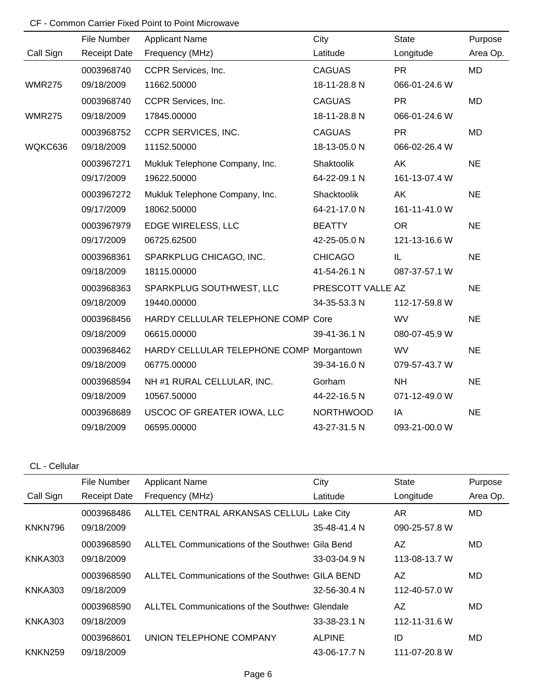|               | File Number         | <b>Applicant Name</b>                    | City              | <b>State</b>  | Purpose   |
|---------------|---------------------|------------------------------------------|-------------------|---------------|-----------|
| Call Sign     | <b>Receipt Date</b> | Frequency (MHz)                          | Latitude          | Longitude     | Area Op.  |
|               | 0003968740          | CCPR Services, Inc.                      | <b>CAGUAS</b>     | <b>PR</b>     | <b>MD</b> |
| <b>WMR275</b> | 09/18/2009          | 11662.50000                              | 18-11-28.8 N      | 066-01-24.6 W |           |
|               | 0003968740          | CCPR Services, Inc.                      | <b>CAGUAS</b>     | <b>PR</b>     | <b>MD</b> |
| <b>WMR275</b> | 09/18/2009          | 17845.00000                              | 18-11-28.8 N      | 066-01-24.6 W |           |
|               | 0003968752          | CCPR SERVICES, INC.                      | <b>CAGUAS</b>     | <b>PR</b>     | <b>MD</b> |
| WQKC636       | 09/18/2009          | 11152.50000                              | 18-13-05.0 N      | 066-02-26.4 W |           |
|               | 0003967271          | Mukluk Telephone Company, Inc.           | Shaktoolik        | AK            | <b>NE</b> |
|               | 09/17/2009          | 19622.50000                              | 64-22-09.1 N      | 161-13-07.4 W |           |
|               | 0003967272          | Mukluk Telephone Company, Inc.           | Shacktoolik       | AK            | <b>NE</b> |
|               | 09/17/2009          | 18062.50000                              | 64-21-17.0 N      | 161-11-41.0 W |           |
|               | 0003967979          | EDGE WIRELESS, LLC                       | <b>BEATTY</b>     | <b>OR</b>     | <b>NE</b> |
|               | 09/17/2009          | 06725.62500                              | 42-25-05.0 N      | 121-13-16.6 W |           |
|               | 0003968361          | SPARKPLUG CHICAGO, INC.                  | <b>CHICAGO</b>    | IL            | <b>NE</b> |
|               | 09/18/2009          | 18115.00000                              | 41-54-26.1 N      | 087-37-57.1 W |           |
|               | 0003968363          | SPARKPLUG SOUTHWEST, LLC                 | PRESCOTT VALLE AZ |               | <b>NE</b> |
|               | 09/18/2009          | 19440.00000                              | 34-35-53.3 N      | 112-17-59.8 W |           |
|               | 0003968456          | HARDY CELLULAR TELEPHONE COMP Core       |                   | <b>WV</b>     | <b>NE</b> |
|               | 09/18/2009          | 06615.00000                              | 39-41-36.1 N      | 080-07-45.9 W |           |
|               | 0003968462          | HARDY CELLULAR TELEPHONE COMP Morgantown |                   | <b>WV</b>     | <b>NE</b> |
|               | 09/18/2009          | 06775.00000                              | 39-34-16.0 N      | 079-57-43.7 W |           |
|               | 0003968594          | NH #1 RURAL CELLULAR, INC.               | Gorham            | <b>NH</b>     | <b>NE</b> |
|               | 09/18/2009          | 10567.50000                              | 44-22-16.5 N      | 071-12-49.0 W |           |
|               | 0003968689          | USCOC OF GREATER IOWA, LLC               | <b>NORTHWOOD</b>  | IA            | <b>NE</b> |
|               | 09/18/2009          | 06595.00000                              | 43-27-31.5 N      | 093-21-00.0 W |           |

### CL - Cellular

|                | File Number         | <b>Applicant Name</b>                           | City           | <b>State</b>  | Purpose  |
|----------------|---------------------|-------------------------------------------------|----------------|---------------|----------|
| Call Sign      | <b>Receipt Date</b> | Frequency (MHz)                                 | Latitude       | Longitude     | Area Op. |
|                | 0003968486          | ALLTEL CENTRAL ARKANSAS CELLUL, Lake City       |                | AR.           | MD       |
| KNKN796        | 09/18/2009          |                                                 | 35-48-41.4 N   | 090-25-57.8 W |          |
|                | 0003968590          | ALLTEL Communications of the Southwes Gila Bend |                | AZ.           | MD       |
| <b>KNKA303</b> | 09/18/2009          |                                                 | $33-03-04.9 N$ | 113-08-13.7 W |          |
|                | 0003968590          | ALLTEL Communications of the Southwes GILA BEND |                | AZ.           | MD       |
| <b>KNKA303</b> | 09/18/2009          |                                                 | 32-56-30.4 N   | 112-40-57.0 W |          |
|                | 0003968590          | ALLTEL Communications of the Southwes Glendale  |                | AZ            | MD.      |
| <b>KNKA303</b> | 09/18/2009          |                                                 | 33-38-23.1 N   | 112-11-31.6 W |          |
|                | 0003968601          | UNION TELEPHONE COMPANY                         | <b>ALPINE</b>  | ID            | MD       |
| <b>KNKN259</b> | 09/18/2009          |                                                 | 43-06-17.7 N   | 111-07-20.8 W |          |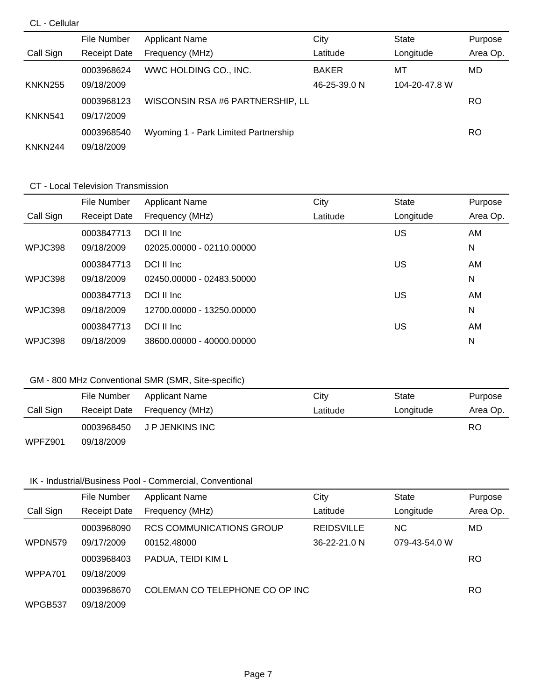### CL - Cellular

|                | File Number         | <b>Applicant Name</b>                | City         | <b>State</b>  | Purpose  |
|----------------|---------------------|--------------------------------------|--------------|---------------|----------|
| Call Sign      | <b>Receipt Date</b> | Frequency (MHz)                      | Latitude     | Longitude     | Area Op. |
|                | 0003968624          | WWC HOLDING CO., INC.                | <b>BAKER</b> | ΜТ            | MD.      |
| <b>KNKN255</b> | 09/18/2009          |                                      | 46-25-39.0 N | 104-20-47.8 W |          |
|                | 0003968123          | WISCONSIN RSA #6 PARTNERSHIP, LL     |              |               | RO       |
| KNKN541        | 09/17/2009          |                                      |              |               |          |
|                | 0003968540          | Wyoming 1 - Park Limited Partnership |              |               | RO       |
| KNKN244        | 09/18/2009          |                                      |              |               |          |

### CT - Local Television Transmission

|           | File Number         | <b>Applicant Name</b>     | City     | <b>State</b> | Purpose  |
|-----------|---------------------|---------------------------|----------|--------------|----------|
| Call Sign | <b>Receipt Date</b> | Frequency (MHz)           | Latitude | Longitude    | Area Op. |
|           | 0003847713          | DCI II Inc.               |          | US           | AM       |
| WPJC398   | 09/18/2009          | 02025.00000 - 02110.00000 |          |              | N        |
|           | 0003847713          | DCI II Inc.               |          | US           | AM       |
| WPJC398   | 09/18/2009          | 02450.00000 - 02483.50000 |          |              | N        |
|           | 0003847713          | DCI II Inc.               |          | US           | AM       |
| WPJC398   | 09/18/2009          | 12700.00000 - 13250.00000 |          |              | N        |
|           | 0003847713          | DCI II Inc                |          | US           | AM       |
| WPJC398   | 09/18/2009          | 38600.00000 - 40000.00000 |          |              | N        |

# GM - 800 MHz Conventional SMR (SMR, Site-specific)

|           | File Number  | Applicant Name  | City     | State     | Purpose   |
|-----------|--------------|-----------------|----------|-----------|-----------|
| Call Sign | Receipt Date | Frequency (MHz) | Latitude | Longitude | Area Op.  |
|           | 0003968450   | J P JENKINS INC |          |           | <b>RO</b> |
| WPFZ901   | 09/18/2009   |                 |          |           |           |

## IK - Industrial/Business Pool - Commercial, Conventional

|           | File Number         | <b>Applicant Name</b>          | City              | <b>State</b>  | Purpose  |
|-----------|---------------------|--------------------------------|-------------------|---------------|----------|
| Call Sign | <b>Receipt Date</b> | Frequency (MHz)                | Latitude          | Longitude     | Area Op. |
|           | 0003968090          | RCS COMMUNICATIONS GROUP       | <b>REIDSVILLE</b> | NC.           | MD       |
| WPDN579   | 09/17/2009          | 00152.48000                    | 36-22-21.0 N      | 079-43-54.0 W |          |
|           | 0003968403          | PADUA, TEIDI KIM L             |                   |               | RO       |
| WPPA701   | 09/18/2009          |                                |                   |               |          |
|           | 0003968670          | COLEMAN CO TELEPHONE CO OP INC |                   |               | RO       |
| WPGB537   | 09/18/2009          |                                |                   |               |          |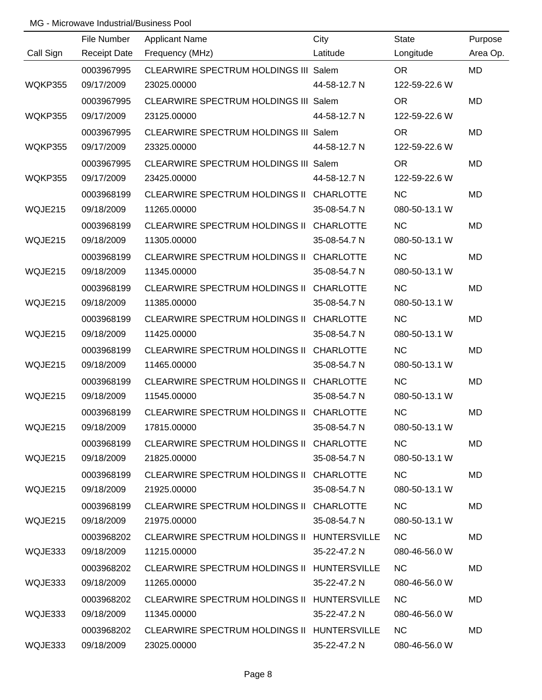|           | File Number         | <b>Applicant Name</b>                       | City             | <b>State</b>  | Purpose   |
|-----------|---------------------|---------------------------------------------|------------------|---------------|-----------|
| Call Sign | <b>Receipt Date</b> | Frequency (MHz)                             | Latitude         | Longitude     | Area Op.  |
|           | 0003967995          | CLEARWIRE SPECTRUM HOLDINGS III Salem       |                  | <b>OR</b>     | <b>MD</b> |
| WQKP355   | 09/17/2009          | 23025.00000                                 | 44-58-12.7 N     | 122-59-22.6 W |           |
|           | 0003967995          | CLEARWIRE SPECTRUM HOLDINGS III Salem       |                  | <b>OR</b>     | <b>MD</b> |
| WQKP355   | 09/17/2009          | 23125.00000                                 | 44-58-12.7 N     | 122-59-22.6 W |           |
|           | 0003967995          | CLEARWIRE SPECTRUM HOLDINGS III Salem       |                  | <b>OR</b>     | <b>MD</b> |
| WQKP355   | 09/17/2009          | 23325.00000                                 | 44-58-12.7 N     | 122-59-22.6 W |           |
|           | 0003967995          | CLEARWIRE SPECTRUM HOLDINGS III Salem       |                  | <b>OR</b>     | <b>MD</b> |
| WQKP355   | 09/17/2009          | 23425.00000                                 | 44-58-12.7 N     | 122-59-22.6 W |           |
|           | 0003968199          | CLEARWIRE SPECTRUM HOLDINGS II CHARLOTTE    |                  | <b>NC</b>     | MD        |
| WQJE215   | 09/18/2009          | 11265.00000                                 | 35-08-54.7 N     | 080-50-13.1 W |           |
|           | 0003968199          | CLEARWIRE SPECTRUM HOLDINGS II CHARLOTTE    |                  | <b>NC</b>     | <b>MD</b> |
| WQJE215   | 09/18/2009          | 11305.00000                                 | 35-08-54.7 N     | 080-50-13.1 W |           |
|           | 0003968199          | CLEARWIRE SPECTRUM HOLDINGS II              | <b>CHARLOTTE</b> | <b>NC</b>     | MD        |
| WQJE215   | 09/18/2009          | 11345.00000                                 | 35-08-54.7 N     | 080-50-13.1 W |           |
|           | 0003968199          | CLEARWIRE SPECTRUM HOLDINGS II              | <b>CHARLOTTE</b> | <b>NC</b>     | <b>MD</b> |
| WQJE215   | 09/18/2009          | 11385.00000                                 | 35-08-54.7 N     | 080-50-13.1 W |           |
|           | 0003968199          | CLEARWIRE SPECTRUM HOLDINGS II              | <b>CHARLOTTE</b> | <b>NC</b>     | MD        |
| WQJE215   | 09/18/2009          | 11425.00000                                 | 35-08-54.7 N     | 080-50-13.1 W |           |
|           | 0003968199          | CLEARWIRE SPECTRUM HOLDINGS II CHARLOTTE    |                  | <b>NC</b>     | <b>MD</b> |
| WQJE215   | 09/18/2009          | 11465.00000                                 | 35-08-54.7 N     | 080-50-13.1 W |           |
|           | 0003968199          | CLEARWIRE SPECTRUM HOLDINGS II              | <b>CHARLOTTE</b> | <b>NC</b>     | MD        |
| WQJE215   | 09/18/2009          | 11545.00000                                 | 35-08-54.7 N     | 080-50-13.1 W |           |
|           | 0003968199          | CLEARWIRE SPECTRUM HOLDINGS II CHARLOTTE    |                  | <b>NC</b>     | MD        |
| WQJE215   | 09/18/2009          | 17815.00000                                 | 35-08-54.7 N     | 080-50-13.1 W |           |
|           | 0003968199          | CLEARWIRE SPECTRUM HOLDINGS II CHARLOTTE    |                  | <b>NC</b>     | <b>MD</b> |
| WQJE215   | 09/18/2009          | 21825.00000                                 | 35-08-54.7 N     | 080-50-13.1 W |           |
|           | 0003968199          | CLEARWIRE SPECTRUM HOLDINGS II CHARLOTTE    |                  | <b>NC</b>     | MD        |
| WQJE215   | 09/18/2009          | 21925.00000                                 | 35-08-54.7 N     | 080-50-13.1 W |           |
|           | 0003968199          | CLEARWIRE SPECTRUM HOLDINGS II CHARLOTTE    |                  | <b>NC</b>     | MD        |
| WQJE215   | 09/18/2009          | 21975.00000                                 | 35-08-54.7 N     | 080-50-13.1 W |           |
|           | 0003968202          | CLEARWIRE SPECTRUM HOLDINGS II HUNTERSVILLE |                  | NC.           | MD        |
| WQJE333   | 09/18/2009          | 11215.00000                                 | 35-22-47.2 N     | 080-46-56.0 W |           |
|           | 0003968202          | CLEARWIRE SPECTRUM HOLDINGS II HUNTERSVILLE |                  | <b>NC</b>     | MD        |
| WQJE333   | 09/18/2009          | 11265.00000                                 | 35-22-47.2 N     | 080-46-56.0 W |           |
|           | 0003968202          | CLEARWIRE SPECTRUM HOLDINGS II HUNTERSVILLE |                  | <b>NC</b>     | MD        |
| WQJE333   | 09/18/2009          | 11345.00000                                 | 35-22-47.2 N     | 080-46-56.0 W |           |
|           | 0003968202          | CLEARWIRE SPECTRUM HOLDINGS II HUNTERSVILLE |                  | <b>NC</b>     | MD        |
| WQJE333   | 09/18/2009          | 23025.00000                                 | 35-22-47.2 N     | 080-46-56.0 W |           |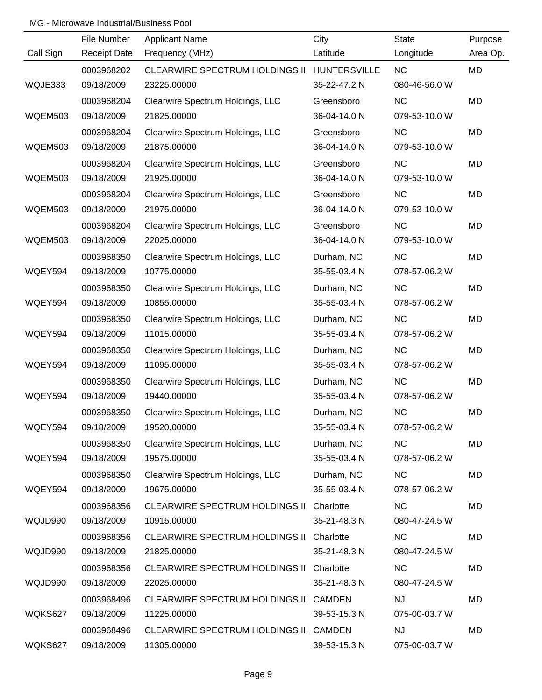|                | File Number         | <b>Applicant Name</b>                       | City         | <b>State</b>  | Purpose   |
|----------------|---------------------|---------------------------------------------|--------------|---------------|-----------|
| Call Sign      | <b>Receipt Date</b> | Frequency (MHz)                             | Latitude     | Longitude     | Area Op.  |
|                | 0003968202          | CLEARWIRE SPECTRUM HOLDINGS II HUNTERSVILLE |              | <b>NC</b>     | <b>MD</b> |
| WQJE333        | 09/18/2009          | 23225.00000                                 | 35-22-47.2 N | 080-46-56.0 W |           |
|                | 0003968204          | Clearwire Spectrum Holdings, LLC            | Greensboro   | <b>NC</b>     | <b>MD</b> |
| <b>WQEM503</b> | 09/18/2009          | 21825.00000                                 | 36-04-14.0 N | 079-53-10.0 W |           |
|                | 0003968204          | Clearwire Spectrum Holdings, LLC            | Greensboro   | <b>NC</b>     | <b>MD</b> |
| <b>WQEM503</b> | 09/18/2009          | 21875.00000                                 | 36-04-14.0 N | 079-53-10.0 W |           |
|                | 0003968204          | Clearwire Spectrum Holdings, LLC            | Greensboro   | <b>NC</b>     | <b>MD</b> |
| <b>WQEM503</b> | 09/18/2009          | 21925.00000                                 | 36-04-14.0 N | 079-53-10.0 W |           |
|                | 0003968204          | Clearwire Spectrum Holdings, LLC            | Greensboro   | <b>NC</b>     | <b>MD</b> |
| <b>WQEM503</b> | 09/18/2009          | 21975.00000                                 | 36-04-14.0 N | 079-53-10.0 W |           |
|                | 0003968204          | Clearwire Spectrum Holdings, LLC            | Greensboro   | <b>NC</b>     | <b>MD</b> |
| <b>WQEM503</b> | 09/18/2009          | 22025.00000                                 | 36-04-14.0 N | 079-53-10.0 W |           |
|                | 0003968350          | Clearwire Spectrum Holdings, LLC            | Durham, NC   | <b>NC</b>     | <b>MD</b> |
| WQEY594        | 09/18/2009          | 10775.00000                                 | 35-55-03.4 N | 078-57-06.2 W |           |
|                | 0003968350          | Clearwire Spectrum Holdings, LLC            | Durham, NC   | <b>NC</b>     | <b>MD</b> |
| WQEY594        | 09/18/2009          | 10855.00000                                 | 35-55-03.4 N | 078-57-06.2 W |           |
|                | 0003968350          | Clearwire Spectrum Holdings, LLC            | Durham, NC   | <b>NC</b>     | <b>MD</b> |
| WQEY594        | 09/18/2009          | 11015.00000                                 | 35-55-03.4 N | 078-57-06.2 W |           |
|                | 0003968350          | Clearwire Spectrum Holdings, LLC            | Durham, NC   | <b>NC</b>     | <b>MD</b> |
| WQEY594        | 09/18/2009          | 11095.00000                                 | 35-55-03.4 N | 078-57-06.2 W |           |
|                | 0003968350          | Clearwire Spectrum Holdings, LLC            | Durham, NC   | <b>NC</b>     | <b>MD</b> |
| WQEY594        | 09/18/2009          | 19440.00000                                 | 35-55-03.4 N | 078-57-06.2 W |           |
|                | 0003968350          | Clearwire Spectrum Holdings, LLC            | Durham, NC   | NC            | <b>MD</b> |
| WQEY594        | 09/18/2009          | 19520.00000                                 | 35-55-03.4 N | 078-57-06.2 W |           |
|                | 0003968350          | Clearwire Spectrum Holdings, LLC            | Durham, NC   | <b>NC</b>     | <b>MD</b> |
| WQEY594        | 09/18/2009          | 19575.00000                                 | 35-55-03.4 N | 078-57-06.2 W |           |
|                | 0003968350          | Clearwire Spectrum Holdings, LLC            | Durham, NC   | <b>NC</b>     | MD        |
| WQEY594        | 09/18/2009          | 19675.00000                                 | 35-55-03.4 N | 078-57-06.2 W |           |
|                | 0003968356          | <b>CLEARWIRE SPECTRUM HOLDINGS II</b>       | Charlotte    | <b>NC</b>     | MD        |
| WQJD990        | 09/18/2009          | 10915.00000                                 | 35-21-48.3 N | 080-47-24.5 W |           |
|                | 0003968356          | CLEARWIRE SPECTRUM HOLDINGS II Charlotte    |              | <b>NC</b>     | <b>MD</b> |
| WQJD990        | 09/18/2009          | 21825.00000                                 | 35-21-48.3 N | 080-47-24.5 W |           |
|                | 0003968356          | <b>CLEARWIRE SPECTRUM HOLDINGS II</b>       | Charlotte    | <b>NC</b>     | MD        |
| WQJD990        | 09/18/2009          | 22025.00000                                 | 35-21-48.3 N | 080-47-24.5 W |           |
|                | 0003968496          | CLEARWIRE SPECTRUM HOLDINGS III CAMDEN      |              | <b>NJ</b>     | <b>MD</b> |
| WQKS627        | 09/18/2009          | 11225.00000                                 | 39-53-15.3 N | 075-00-03.7 W |           |
|                | 0003968496          | CLEARWIRE SPECTRUM HOLDINGS III CAMDEN      |              | <b>NJ</b>     | <b>MD</b> |
| WQKS627        | 09/18/2009          | 11305.00000                                 | 39-53-15.3 N | 075-00-03.7 W |           |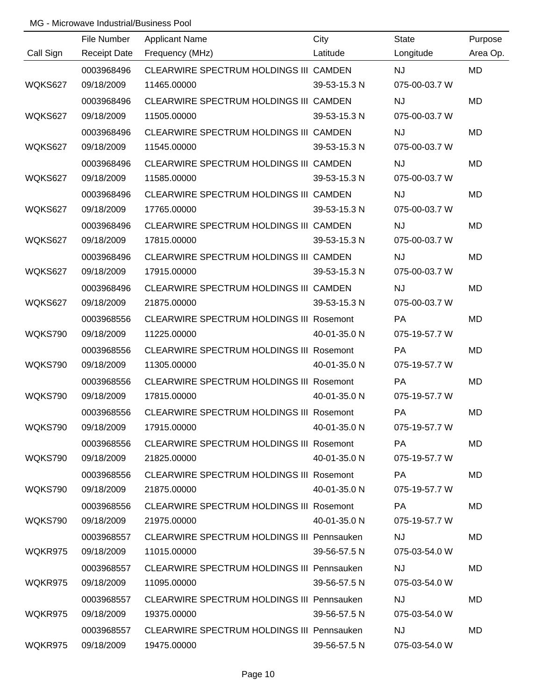|           | File Number         | <b>Applicant Name</b>                             | City         | <b>State</b>  | Purpose   |
|-----------|---------------------|---------------------------------------------------|--------------|---------------|-----------|
| Call Sign | <b>Receipt Date</b> | Frequency (MHz)                                   | Latitude     | Longitude     | Area Op.  |
|           | 0003968496          | CLEARWIRE SPECTRUM HOLDINGS III CAMDEN            |              | <b>NJ</b>     | <b>MD</b> |
| WQKS627   | 09/18/2009          | 11465.00000                                       | 39-53-15.3 N | 075-00-03.7 W |           |
|           | 0003968496          | CLEARWIRE SPECTRUM HOLDINGS III CAMDEN            |              | <b>NJ</b>     | <b>MD</b> |
| WQKS627   | 09/18/2009          | 11505.00000                                       | 39-53-15.3 N | 075-00-03.7 W |           |
|           | 0003968496          | CLEARWIRE SPECTRUM HOLDINGS III CAMDEN            |              | <b>NJ</b>     | <b>MD</b> |
| WQKS627   | 09/18/2009          | 11545.00000                                       | 39-53-15.3 N | 075-00-03.7 W |           |
|           | 0003968496          | CLEARWIRE SPECTRUM HOLDINGS III CAMDEN            |              | <b>NJ</b>     | MD        |
| WQKS627   | 09/18/2009          | 11585.00000                                       | 39-53-15.3 N | 075-00-03.7 W |           |
|           | 0003968496          | CLEARWIRE SPECTRUM HOLDINGS III CAMDEN            |              | <b>NJ</b>     | MD        |
| WQKS627   | 09/18/2009          | 17765.00000                                       | 39-53-15.3 N | 075-00-03.7 W |           |
|           | 0003968496          | CLEARWIRE SPECTRUM HOLDINGS III CAMDEN            |              | <b>NJ</b>     | MD        |
| WQKS627   | 09/18/2009          | 17815.00000                                       | 39-53-15.3 N | 075-00-03.7 W |           |
|           | 0003968496          | CLEARWIRE SPECTRUM HOLDINGS III CAMDEN            |              | <b>NJ</b>     | MD        |
| WQKS627   | 09/18/2009          | 17915.00000                                       | 39-53-15.3 N | 075-00-03.7 W |           |
|           | 0003968496          | CLEARWIRE SPECTRUM HOLDINGS III CAMDEN            |              | <b>NJ</b>     | MD        |
| WQKS627   | 09/18/2009          | 21875.00000                                       | 39-53-15.3 N | 075-00-03.7 W |           |
|           | 0003968556          | <b>CLEARWIRE SPECTRUM HOLDINGS III Rosemont</b>   |              | PA            | MD        |
| WQKS790   | 09/18/2009          | 11225.00000                                       | 40-01-35.0 N | 075-19-57.7 W |           |
|           | 0003968556          | CLEARWIRE SPECTRUM HOLDINGS III Rosemont          |              | PA            | MD        |
| WQKS790   | 09/18/2009          | 11305.00000                                       | 40-01-35.0 N | 075-19-57.7 W |           |
|           | 0003968556          | CLEARWIRE SPECTRUM HOLDINGS III Rosemont          |              | PA            | MD        |
| WQKS790   | 09/18/2009          | 17815.00000                                       | 40-01-35.0 N | 075-19-57.7 W |           |
|           | 0003968556          | <b>CLEARWIRE SPECTRUM HOLDINGS III Rosemont</b>   |              | PA            | MD        |
| WQKS790   | 09/18/2009          | 17915.00000                                       | 40-01-35.0 N | 075-19-57.7 W |           |
|           | 0003968556          | CLEARWIRE SPECTRUM HOLDINGS III Rosemont          |              | PA.           | MD        |
| WQKS790   | 09/18/2009          | 21825.00000                                       | 40-01-35.0 N | 075-19-57.7 W |           |
|           | 0003968556          | <b>CLEARWIRE SPECTRUM HOLDINGS III Rosemont</b>   |              | PA            | MD        |
| WQKS790   | 09/18/2009          | 21875.00000                                       | 40-01-35.0 N | 075-19-57.7 W |           |
|           | 0003968556          | <b>CLEARWIRE SPECTRUM HOLDINGS III Rosemont</b>   |              | <b>PA</b>     | MD        |
| WQKS790   | 09/18/2009          | 21975.00000                                       | 40-01-35.0 N | 075-19-57.7 W |           |
|           | 0003968557          | <b>CLEARWIRE SPECTRUM HOLDINGS III Pennsauken</b> |              | <b>NJ</b>     | MD        |
| WQKR975   | 09/18/2009          | 11015.00000                                       | 39-56-57.5 N | 075-03-54.0 W |           |
|           | 0003968557          | <b>CLEARWIRE SPECTRUM HOLDINGS III Pennsauken</b> |              | <b>NJ</b>     | MD        |
| WQKR975   | 09/18/2009          | 11095.00000                                       | 39-56-57.5 N | 075-03-54.0 W |           |
|           | 0003968557          | <b>CLEARWIRE SPECTRUM HOLDINGS III Pennsauken</b> |              | <b>NJ</b>     | MD        |
| WQKR975   | 09/18/2009          | 19375.00000                                       | 39-56-57.5 N | 075-03-54.0 W |           |
|           | 0003968557          | <b>CLEARWIRE SPECTRUM HOLDINGS III Pennsauken</b> |              | <b>NJ</b>     | MD        |
| WQKR975   | 09/18/2009          | 19475.00000                                       | 39-56-57.5 N | 075-03-54.0 W |           |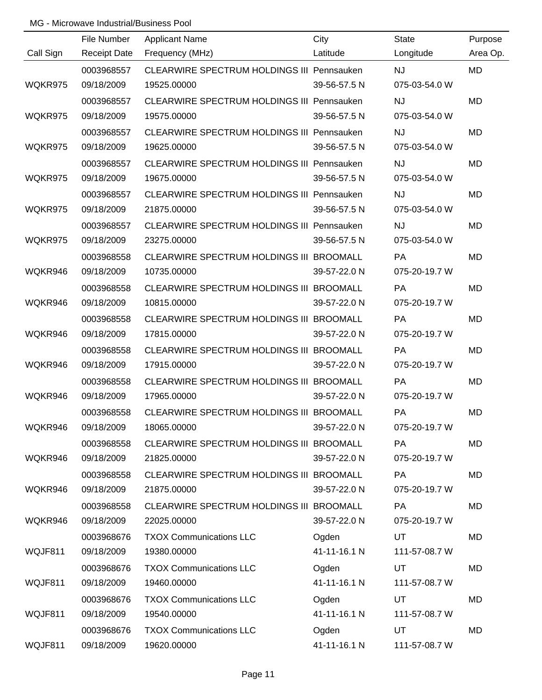|           | File Number         | <b>Applicant Name</b>                             | City         | <b>State</b>  | Purpose   |
|-----------|---------------------|---------------------------------------------------|--------------|---------------|-----------|
| Call Sign | <b>Receipt Date</b> | Frequency (MHz)                                   | Latitude     | Longitude     | Area Op.  |
|           | 0003968557          | CLEARWIRE SPECTRUM HOLDINGS III Pennsauken        |              | <b>NJ</b>     | <b>MD</b> |
| WQKR975   | 09/18/2009          | 19525.00000                                       | 39-56-57.5 N | 075-03-54.0 W |           |
|           | 0003968557          | CLEARWIRE SPECTRUM HOLDINGS III Pennsauken        |              | <b>NJ</b>     | <b>MD</b> |
| WQKR975   | 09/18/2009          | 19575.00000                                       | 39-56-57.5 N | 075-03-54.0 W |           |
|           | 0003968557          | CLEARWIRE SPECTRUM HOLDINGS III Pennsauken        |              | <b>NJ</b>     | <b>MD</b> |
| WQKR975   | 09/18/2009          | 19625.00000                                       | 39-56-57.5 N | 075-03-54.0 W |           |
|           | 0003968557          | <b>CLEARWIRE SPECTRUM HOLDINGS III Pennsauken</b> |              | <b>NJ</b>     | <b>MD</b> |
| WQKR975   | 09/18/2009          | 19675.00000                                       | 39-56-57.5 N | 075-03-54.0 W |           |
|           | 0003968557          | CLEARWIRE SPECTRUM HOLDINGS III Pennsauken        |              | <b>NJ</b>     | MD        |
| WQKR975   | 09/18/2009          | 21875.00000                                       | 39-56-57.5 N | 075-03-54.0 W |           |
|           | 0003968557          | CLEARWIRE SPECTRUM HOLDINGS III Pennsauken        |              | <b>NJ</b>     | MD        |
| WQKR975   | 09/18/2009          | 23275.00000                                       | 39-56-57.5 N | 075-03-54.0 W |           |
|           | 0003968558          | CLEARWIRE SPECTRUM HOLDINGS III BROOMALL          |              | PA            | MD        |
| WQKR946   | 09/18/2009          | 10735.00000                                       | 39-57-22.0 N | 075-20-19.7 W |           |
|           | 0003968558          | CLEARWIRE SPECTRUM HOLDINGS III BROOMALL          |              | PA            | MD        |
| WQKR946   | 09/18/2009          | 10815.00000                                       | 39-57-22.0 N | 075-20-19.7 W |           |
|           | 0003968558          | CLEARWIRE SPECTRUM HOLDINGS III BROOMALL          |              | PA            | MD        |
| WQKR946   | 09/18/2009          | 17815.00000                                       | 39-57-22.0 N | 075-20-19.7 W |           |
|           | 0003968558          | CLEARWIRE SPECTRUM HOLDINGS III BROOMALL          |              | PA            | <b>MD</b> |
| WQKR946   | 09/18/2009          | 17915.00000                                       | 39-57-22.0 N | 075-20-19.7 W |           |
|           | 0003968558          | CLEARWIRE SPECTRUM HOLDINGS III BROOMALL          |              | PA            | MD        |
| WQKR946   | 09/18/2009          | 17965.00000                                       | 39-57-22.0 N | 075-20-19.7 W |           |
|           | 0003968558          | CLEARWIRE SPECTRUM HOLDINGS III BROOMALL          |              | PA            | MD        |
| WQKR946   | 09/18/2009          | 18065.00000                                       | 39-57-22.0 N | 075-20-19.7 W |           |
|           | 0003968558          | CLEARWIRE SPECTRUM HOLDINGS III BROOMALL          |              | PA            | MD        |
| WQKR946   | 09/18/2009          | 21825.00000                                       | 39-57-22.0 N | 075-20-19.7 W |           |
|           | 0003968558          | CLEARWIRE SPECTRUM HOLDINGS III BROOMALL          |              | PA            | MD        |
| WQKR946   | 09/18/2009          | 21875.00000                                       | 39-57-22.0 N | 075-20-19.7 W |           |
|           | 0003968558          | CLEARWIRE SPECTRUM HOLDINGS III BROOMALL          |              | <b>PA</b>     | MD        |
| WQKR946   | 09/18/2009          | 22025.00000                                       | 39-57-22.0 N | 075-20-19.7 W |           |
|           | 0003968676          | <b>TXOX Communications LLC</b>                    | Ogden        | UT            | MD        |
| WQJF811   | 09/18/2009          | 19380.00000                                       | 41-11-16.1 N | 111-57-08.7 W |           |
|           | 0003968676          | <b>TXOX Communications LLC</b>                    | Ogden        | UT            | MD        |
| WQJF811   | 09/18/2009          | 19460.00000                                       | 41-11-16.1 N | 111-57-08.7 W |           |
|           | 0003968676          | <b>TXOX Communications LLC</b>                    | Ogden        | UT            | MD        |
| WQJF811   | 09/18/2009          | 19540.00000                                       | 41-11-16.1 N | 111-57-08.7 W |           |
|           | 0003968676          | <b>TXOX Communications LLC</b>                    | Ogden        | UT            | MD        |
| WQJF811   | 09/18/2009          | 19620.00000                                       | 41-11-16.1 N | 111-57-08.7 W |           |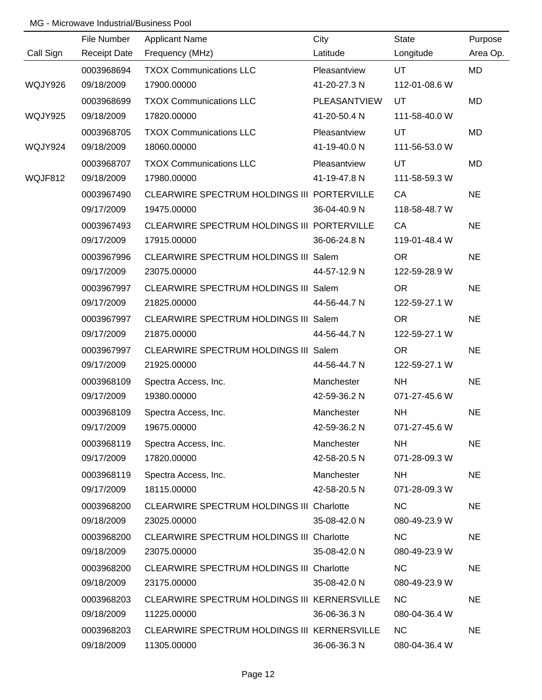|           | File Number         | <b>Applicant Name</b>                            | City                | <b>State</b>  | Purpose   |
|-----------|---------------------|--------------------------------------------------|---------------------|---------------|-----------|
| Call Sign | <b>Receipt Date</b> | Frequency (MHz)                                  | Latitude            | Longitude     | Area Op.  |
|           | 0003968694          | <b>TXOX Communications LLC</b>                   | Pleasantview        | UT            | MD        |
| WQJY926   | 09/18/2009          | 17900.00000                                      | 41-20-27.3 N        | 112-01-08.6 W |           |
|           | 0003968699          | <b>TXOX Communications LLC</b>                   | <b>PLEASANTVIEW</b> | UT            | <b>MD</b> |
| WQJY925   | 09/18/2009          | 17820.00000                                      | 41-20-50.4 N        | 111-58-40.0 W |           |
|           | 0003968705          | <b>TXOX Communications LLC</b>                   | Pleasantview        | <b>UT</b>     | MD        |
| WQJY924   | 09/18/2009          | 18060.00000                                      | 41-19-40.0 N        | 111-56-53.0 W |           |
|           | 0003968707          | <b>TXOX Communications LLC</b>                   | Pleasantview        | UT            | MD        |
| WQJF812   | 09/18/2009          | 17980.00000                                      | 41-19-47.8 N        | 111-58-59.3 W |           |
|           | 0003967490          | CLEARWIRE SPECTRUM HOLDINGS III PORTERVILLE      |                     | CA            | <b>NE</b> |
|           | 09/17/2009          | 19475.00000                                      | 36-04-40.9 N        | 118-58-48.7 W |           |
|           | 0003967493          | CLEARWIRE SPECTRUM HOLDINGS III PORTERVILLE      |                     | CA            | <b>NE</b> |
|           | 09/17/2009          | 17915.00000                                      | 36-06-24.8 N        | 119-01-48.4 W |           |
|           | 0003967996          | CLEARWIRE SPECTRUM HOLDINGS III Salem            |                     | <b>OR</b>     | <b>NE</b> |
|           | 09/17/2009          | 23075.00000                                      | 44-57-12.9 N        | 122-59-28.9 W |           |
|           | 0003967997          | CLEARWIRE SPECTRUM HOLDINGS III Salem            |                     | <b>OR</b>     | <b>NE</b> |
|           | 09/17/2009          | 21825.00000                                      | 44-56-44.7 N        | 122-59-27.1 W |           |
|           | 0003967997          | CLEARWIRE SPECTRUM HOLDINGS III Salem            |                     | <b>OR</b>     | <b>NE</b> |
|           | 09/17/2009          | 21875.00000                                      | 44-56-44.7 N        | 122-59-27.1 W |           |
|           | 0003967997          | CLEARWIRE SPECTRUM HOLDINGS III Salem            |                     | <b>OR</b>     | <b>NE</b> |
|           | 09/17/2009          | 21925.00000                                      | 44-56-44.7 N        | 122-59-27.1 W |           |
|           | 0003968109          | Spectra Access, Inc.                             | Manchester          | <b>NH</b>     | <b>NE</b> |
|           | 09/17/2009          | 19380.00000                                      | 42-59-36.2 N        | 071-27-45.6 W |           |
|           | 0003968109          | Spectra Access, Inc.                             | Manchester          | <b>NH</b>     | <b>NE</b> |
|           | 09/17/2009          | 19675.00000                                      | 42-59-36.2 N        | 071-27-45.6 W |           |
|           | 0003968119          | Spectra Access, Inc.                             | Manchester          | NH.           | <b>NE</b> |
|           | 09/17/2009          | 17820.00000                                      | 42-58-20.5 N        | 071-28-09.3 W |           |
|           | 0003968119          | Spectra Access, Inc.                             | Manchester          | <b>NH</b>     | <b>NE</b> |
|           | 09/17/2009          | 18115.00000                                      | 42-58-20.5 N        | 071-28-09.3 W |           |
|           | 0003968200          | <b>CLEARWIRE SPECTRUM HOLDINGS III Charlotte</b> |                     | <b>NC</b>     | <b>NE</b> |
|           | 09/18/2009          | 23025.00000                                      | 35-08-42.0 N        | 080-49-23.9 W |           |
|           | 0003968200          | <b>CLEARWIRE SPECTRUM HOLDINGS III Charlotte</b> |                     | <b>NC</b>     | <b>NE</b> |
|           | 09/18/2009          | 23075.00000                                      | 35-08-42.0 N        | 080-49-23.9 W |           |
|           | 0003968200          | <b>CLEARWIRE SPECTRUM HOLDINGS III Charlotte</b> |                     | <b>NC</b>     | <b>NE</b> |
|           | 09/18/2009          | 23175.00000                                      | 35-08-42.0 N        | 080-49-23.9 W |           |
|           | 0003968203          | CLEARWIRE SPECTRUM HOLDINGS III KERNERSVILLE     |                     | <b>NC</b>     | <b>NE</b> |
|           | 09/18/2009          | 11225.00000                                      | 36-06-36.3 N        | 080-04-36.4 W |           |
|           | 0003968203          | CLEARWIRE SPECTRUM HOLDINGS III KERNERSVILLE     |                     | <b>NC</b>     | <b>NE</b> |
|           | 09/18/2009          | 11305.00000                                      | 36-06-36.3 N        | 080-04-36.4 W |           |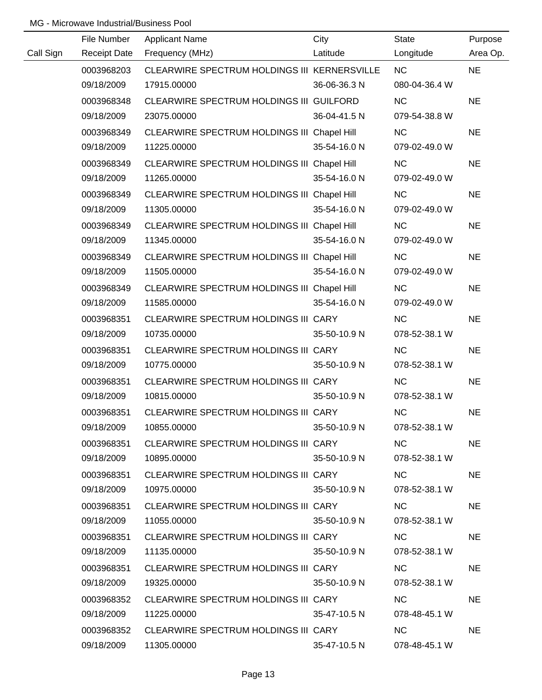|           | File Number | <b>Applicant Name</b>                        | City         | <b>State</b>                                                                                                                                                                                                                   | Purpose   |
|-----------|-------------|----------------------------------------------|--------------|--------------------------------------------------------------------------------------------------------------------------------------------------------------------------------------------------------------------------------|-----------|
| Call Sign |             | Receipt Date Frequency (MHz)                 | Latitude     | Longitude                                                                                                                                                                                                                      | Area Op.  |
|           | 0003968203  | CLEARWIRE SPECTRUM HOLDINGS III KERNERSVILLE |              | NC                                                                                                                                                                                                                             | <b>NE</b> |
|           | 09/18/2009  | 17915.00000                                  | 36-06-36.3 N | 080-04-36.4 W                                                                                                                                                                                                                  |           |
|           | 0003968348  | CLEARWIRE SPECTRUM HOLDINGS III GUILFORD     |              | <b>NC</b>                                                                                                                                                                                                                      | <b>NE</b> |
|           | 09/18/2009  | 23075.00000                                  | 36-04-41.5 N | 079-54-38.8 W                                                                                                                                                                                                                  |           |
|           | 0003968349  | CLEARWIRE SPECTRUM HOLDINGS III Chapel Hill  |              | <b>NC</b>                                                                                                                                                                                                                      | <b>NE</b> |
|           | 09/18/2009  | 11225.00000                                  | 35-54-16.0 N | 079-02-49.0 W                                                                                                                                                                                                                  |           |
|           | 0003968349  | CLEARWIRE SPECTRUM HOLDINGS III Chapel Hill  |              | <b>NC</b>                                                                                                                                                                                                                      | <b>NE</b> |
|           | 09/18/2009  | 11265.00000                                  | 35-54-16.0 N | 079-02-49.0 W                                                                                                                                                                                                                  |           |
|           | 0003968349  | CLEARWIRE SPECTRUM HOLDINGS III Chapel Hill  |              | <b>NC</b>                                                                                                                                                                                                                      | <b>NE</b> |
|           | 09/18/2009  | 11305.00000                                  | 35-54-16.0 N | 079-02-49.0 W                                                                                                                                                                                                                  |           |
|           | 0003968349  | CLEARWIRE SPECTRUM HOLDINGS III Chapel Hill  |              | <b>NC</b>                                                                                                                                                                                                                      | <b>NE</b> |
|           | 09/18/2009  | 11345.00000                                  | 35-54-16.0 N | 079-02-49.0 W                                                                                                                                                                                                                  |           |
|           | 0003968349  | CLEARWIRE SPECTRUM HOLDINGS III Chapel Hill  |              | <b>NC</b>                                                                                                                                                                                                                      | <b>NE</b> |
|           | 09/18/2009  | 11505.00000                                  | 35-54-16.0 N | 079-02-49.0 W                                                                                                                                                                                                                  |           |
|           | 0003968349  | CLEARWIRE SPECTRUM HOLDINGS III Chapel Hill  |              | <b>NC</b>                                                                                                                                                                                                                      | <b>NE</b> |
|           | 09/18/2009  | 11585.00000                                  | 35-54-16.0 N | 079-02-49.0 W                                                                                                                                                                                                                  |           |
|           | 0003968351  | CLEARWIRE SPECTRUM HOLDINGS III CARY         |              | <b>NC</b>                                                                                                                                                                                                                      | <b>NE</b> |
|           | 09/18/2009  | 10735.00000                                  | 35-50-10.9 N | 078-52-38.1 W                                                                                                                                                                                                                  |           |
|           | 0003968351  | CLEARWIRE SPECTRUM HOLDINGS III CARY         |              | <b>NC</b>                                                                                                                                                                                                                      | <b>NE</b> |
|           | 09/18/2009  | 10775.00000                                  | 35-50-10.9 N | 078-52-38.1 W                                                                                                                                                                                                                  |           |
|           | 0003968351  | CLEARWIRE SPECTRUM HOLDINGS III CARY         |              | <b>NC</b>                                                                                                                                                                                                                      | <b>NE</b> |
|           | 09/18/2009  | 10815.00000                                  | 35-50-10.9 N | 078-52-38.1 W                                                                                                                                                                                                                  |           |
|           | 0003968351  | CLEARWIRE SPECTRUM HOLDINGS III CARY         |              | NC                                                                                                                                                                                                                             | <b>NE</b> |
|           | 09/18/2009  | 10855.00000                                  | 35-50-10.9 N | 078-52-38.1 W                                                                                                                                                                                                                  |           |
|           | 0003968351  | CLEARWIRE SPECTRUM HOLDINGS III CARY         |              | NC                                                                                                                                                                                                                             | <b>NE</b> |
|           | 09/18/2009  | 10895.00000                                  | 35-50-10.9 N | 078-52-38.1 W                                                                                                                                                                                                                  |           |
|           | 0003968351  | CLEARWIRE SPECTRUM HOLDINGS III CARY         |              | $NC$ and $C$ and $C$ and $C$ and $C$ and $C$ and $C$ and $C$ and $C$ and $C$ and $C$ and $C$ and $C$ and $C$ and $C$ and $C$ and $C$ and $C$ and $C$ and $C$ and $C$ and $C$ and $C$ and $C$ and $C$ and $C$ and $C$ and $C$ a | <b>NE</b> |
|           | 09/18/2009  | 10975.00000                                  | 35-50-10.9 N | 078-52-38.1 W                                                                                                                                                                                                                  |           |
|           | 0003968351  | CLEARWIRE SPECTRUM HOLDINGS III CARY         |              | NC and the state of the state of the state of the state of the state of the state of the state of the state of the state of the state of the state of the state of the state of the state of the state of the state of the sta | <b>NE</b> |
|           | 09/18/2009  | 11055.00000                                  | 35-50-10.9 N | 078-52-38.1 W                                                                                                                                                                                                                  |           |
|           | 0003968351  | CLEARWIRE SPECTRUM HOLDINGS III CARY         |              | NC                                                                                                                                                                                                                             | <b>NE</b> |
|           | 09/18/2009  | 11135.00000                                  | 35-50-10.9 N | 078-52-38.1 W                                                                                                                                                                                                                  |           |
|           | 0003968351  | CLEARWIRE SPECTRUM HOLDINGS III CARY         |              | $NC$ and $C$ and $C$ and $C$ and $C$ and $C$ and $C$ and $C$ and $C$ and $C$ and $C$ and $C$ and $C$ and $C$ and $C$ and $C$ and $C$ and $C$ and $C$ and $C$ and $C$ and $C$ and $C$ and $C$ and $C$ and $C$ and $C$ and $C$ a | <b>NE</b> |
|           | 09/18/2009  | 19325.00000                                  | 35-50-10.9 N | 078-52-38.1 W                                                                                                                                                                                                                  |           |
|           | 0003968352  | CLEARWIRE SPECTRUM HOLDINGS III CARY         |              | NC                                                                                                                                                                                                                             | <b>NE</b> |
|           | 09/18/2009  | 11225.00000                                  | 35-47-10.5 N | 078-48-45.1 W                                                                                                                                                                                                                  |           |
|           | 0003968352  | CLEARWIRE SPECTRUM HOLDINGS III CARY         |              | NC                                                                                                                                                                                                                             | <b>NE</b> |
|           | 09/18/2009  | 11305.00000                                  | 35-47-10.5 N | 078-48-45.1 W                                                                                                                                                                                                                  |           |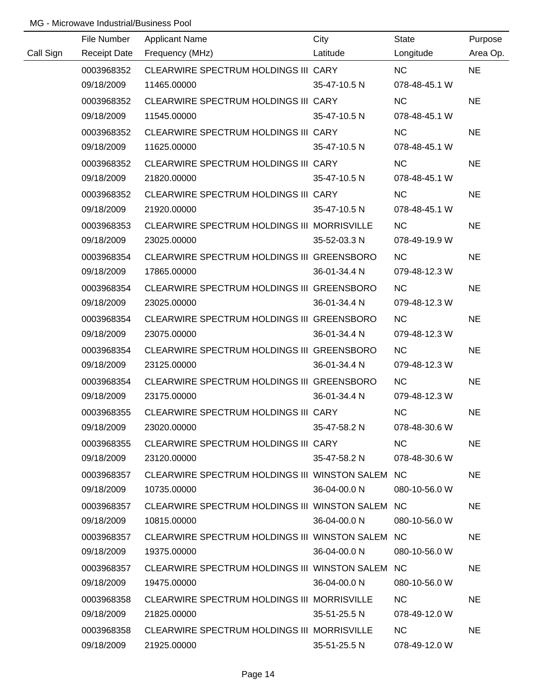|           | File Number         | <b>Applicant Name</b>                            | City         | <b>State</b>  | Purpose   |
|-----------|---------------------|--------------------------------------------------|--------------|---------------|-----------|
| Call Sign | <b>Receipt Date</b> | Frequency (MHz)                                  | Latitude     | Longitude     | Area Op.  |
|           | 0003968352          | CLEARWIRE SPECTRUM HOLDINGS III CARY             |              | <b>NC</b>     | <b>NE</b> |
|           | 09/18/2009          | 11465.00000                                      | 35-47-10.5 N | 078-48-45.1 W |           |
|           | 0003968352          | CLEARWIRE SPECTRUM HOLDINGS III CARY             |              | <b>NC</b>     | <b>NE</b> |
|           | 09/18/2009          | 11545.00000                                      | 35-47-10.5 N | 078-48-45.1 W |           |
|           | 0003968352          | CLEARWIRE SPECTRUM HOLDINGS III CARY             |              | <b>NC</b>     | <b>NE</b> |
|           | 09/18/2009          | 11625.00000                                      | 35-47-10.5 N | 078-48-45.1 W |           |
|           | 0003968352          | CLEARWIRE SPECTRUM HOLDINGS III CARY             |              | <b>NC</b>     | <b>NE</b> |
|           | 09/18/2009          | 21820.00000                                      | 35-47-10.5 N | 078-48-45.1 W |           |
|           | 0003968352          | CLEARWIRE SPECTRUM HOLDINGS III CARY             |              | <b>NC</b>     | <b>NE</b> |
|           | 09/18/2009          | 21920.00000                                      | 35-47-10.5 N | 078-48-45.1 W |           |
|           | 0003968353          | CLEARWIRE SPECTRUM HOLDINGS III MORRISVILLE      |              | <b>NC</b>     | <b>NE</b> |
|           | 09/18/2009          | 23025.00000                                      | 35-52-03.3 N | 078-49-19.9 W |           |
|           | 0003968354          | CLEARWIRE SPECTRUM HOLDINGS III GREENSBORO       |              | <b>NC</b>     | <b>NE</b> |
|           | 09/18/2009          | 17865.00000                                      | 36-01-34.4 N | 079-48-12.3 W |           |
|           | 0003968354          | CLEARWIRE SPECTRUM HOLDINGS III GREENSBORO       |              | <b>NC</b>     | <b>NE</b> |
|           | 09/18/2009          | 23025.00000                                      | 36-01-34.4 N | 079-48-12.3 W |           |
|           | 0003968354          | CLEARWIRE SPECTRUM HOLDINGS III GREENSBORO       |              | <b>NC</b>     | <b>NE</b> |
|           | 09/18/2009          | 23075.00000                                      | 36-01-34.4 N | 079-48-12.3 W |           |
|           | 0003968354          | CLEARWIRE SPECTRUM HOLDINGS III GREENSBORO       |              | <b>NC</b>     | <b>NE</b> |
|           | 09/18/2009          | 23125.00000                                      | 36-01-34.4 N | 079-48-12.3 W |           |
|           | 0003968354          | CLEARWIRE SPECTRUM HOLDINGS III GREENSBORO       |              | <b>NC</b>     | <b>NE</b> |
|           | 09/18/2009          | 23175.00000                                      | 36-01-34.4 N | 079-48-12.3 W |           |
|           | 0003968355          | CLEARWIRE SPECTRUM HOLDINGS III CARY             |              | NC            | <b>NE</b> |
|           | 09/18/2009          | 23020.00000                                      | 35-47-58.2 N | 078-48-30.6 W |           |
|           | 0003968355          | CLEARWIRE SPECTRUM HOLDINGS III CARY             |              | NC.           | <b>NE</b> |
|           | 09/18/2009          | 23120.00000                                      | 35-47-58.2 N | 078-48-30.6 W |           |
|           | 0003968357          | CLEARWIRE SPECTRUM HOLDINGS III WINSTON SALEM NC |              |               | NE.       |
|           | 09/18/2009          | 10735.00000                                      | 36-04-00.0 N | 080-10-56.0 W |           |
|           | 0003968357          | CLEARWIRE SPECTRUM HOLDINGS III WINSTON SALEM NC |              |               | <b>NE</b> |
|           | 09/18/2009          | 10815.00000                                      | 36-04-00.0 N | 080-10-56.0 W |           |
|           | 0003968357          | CLEARWIRE SPECTRUM HOLDINGS III WINSTON SALEM NC |              |               | <b>NE</b> |
|           | 09/18/2009          | 19375.00000                                      | 36-04-00.0 N | 080-10-56.0 W |           |
|           | 0003968357          | CLEARWIRE SPECTRUM HOLDINGS III WINSTON SALEM NC |              |               | <b>NE</b> |
|           | 09/18/2009          | 19475.00000                                      | 36-04-00.0 N | 080-10-56.0 W |           |
|           | 0003968358          | CLEARWIRE SPECTRUM HOLDINGS III MORRISVILLE      |              | <b>NC</b>     | <b>NE</b> |
|           | 09/18/2009          | 21825.00000                                      | 35-51-25.5 N | 078-49-12.0 W |           |
|           | 0003968358          | CLEARWIRE SPECTRUM HOLDINGS III MORRISVILLE      |              | <b>NC</b>     | <b>NE</b> |
|           | 09/18/2009          | 21925.00000                                      | 35-51-25.5 N | 078-49-12.0 W |           |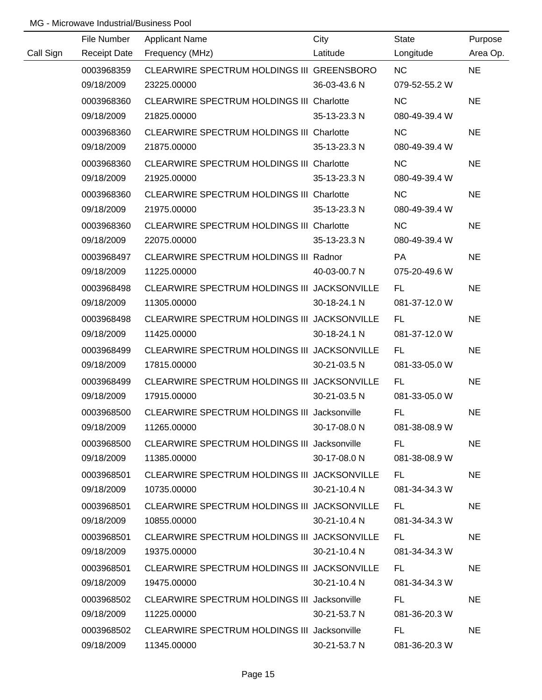|           | File Number         | <b>Applicant Name</b>                            | City         | <b>State</b>  | Purpose   |
|-----------|---------------------|--------------------------------------------------|--------------|---------------|-----------|
| Call Sign | <b>Receipt Date</b> | Frequency (MHz)                                  | Latitude     | Longitude     | Area Op.  |
|           | 0003968359          | CLEARWIRE SPECTRUM HOLDINGS III GREENSBORO       |              | <b>NC</b>     | <b>NE</b> |
|           | 09/18/2009          | 23225.00000                                      | 36-03-43.6 N | 079-52-55.2 W |           |
|           | 0003968360          | CLEARWIRE SPECTRUM HOLDINGS III Charlotte        |              | <b>NC</b>     | <b>NE</b> |
|           | 09/18/2009          | 21825.00000                                      | 35-13-23.3 N | 080-49-39.4 W |           |
|           | 0003968360          | CLEARWIRE SPECTRUM HOLDINGS III Charlotte        |              | <b>NC</b>     | <b>NE</b> |
|           | 09/18/2009          | 21875.00000                                      | 35-13-23.3 N | 080-49-39.4 W |           |
|           | 0003968360          | <b>CLEARWIRE SPECTRUM HOLDINGS III Charlotte</b> |              | <b>NC</b>     | <b>NE</b> |
|           | 09/18/2009          | 21925.00000                                      | 35-13-23.3 N | 080-49-39.4 W |           |
|           | 0003968360          | <b>CLEARWIRE SPECTRUM HOLDINGS III Charlotte</b> |              | <b>NC</b>     | <b>NE</b> |
|           | 09/18/2009          | 21975.00000                                      | 35-13-23.3 N | 080-49-39.4 W |           |
|           | 0003968360          | CLEARWIRE SPECTRUM HOLDINGS III Charlotte        |              | <b>NC</b>     | <b>NE</b> |
|           | 09/18/2009          | 22075.00000                                      | 35-13-23.3 N | 080-49-39.4 W |           |
|           | 0003968497          | CLEARWIRE SPECTRUM HOLDINGS III Radnor           |              | <b>PA</b>     | <b>NE</b> |
|           | 09/18/2009          | 11225.00000                                      | 40-03-00.7 N | 075-20-49.6 W |           |
|           | 0003968498          | CLEARWIRE SPECTRUM HOLDINGS III JACKSONVILLE     |              | FL.           | <b>NE</b> |
|           | 09/18/2009          | 11305.00000                                      | 30-18-24.1 N | 081-37-12.0 W |           |
|           | 0003968498          | CLEARWIRE SPECTRUM HOLDINGS III JACKSONVILLE     |              | FL            | <b>NE</b> |
|           | 09/18/2009          | 11425.00000                                      | 30-18-24.1 N | 081-37-12.0 W |           |
|           | 0003968499          | CLEARWIRE SPECTRUM HOLDINGS III JACKSONVILLE     |              | FL            | <b>NE</b> |
|           | 09/18/2009          | 17815.00000                                      | 30-21-03.5 N | 081-33-05.0 W |           |
|           | 0003968499          | CLEARWIRE SPECTRUM HOLDINGS III JACKSONVILLE     |              | FL.           | <b>NE</b> |
|           | 09/18/2009          | 17915.00000                                      | 30-21-03.5 N | 081-33-05.0 W |           |
|           | 0003968500          | CLEARWIRE SPECTRUM HOLDINGS III Jacksonville     |              | <b>FL</b>     | <b>NE</b> |
|           | 09/18/2009          | 11265.00000                                      | 30-17-08.0 N | 081-38-08.9 W |           |
|           | 0003968500          | CLEARWIRE SPECTRUM HOLDINGS III Jacksonville     |              | FL.           | <b>NE</b> |
|           | 09/18/2009          | 11385.00000                                      | 30-17-08.0 N | 081-38-08.9 W |           |
|           | 0003968501          | CLEARWIRE SPECTRUM HOLDINGS III JACKSONVILLE     |              | FL.           | <b>NE</b> |
|           | 09/18/2009          | 10735.00000                                      | 30-21-10.4 N | 081-34-34.3 W |           |
|           | 0003968501          | CLEARWIRE SPECTRUM HOLDINGS III JACKSONVILLE     |              | FL.           | <b>NE</b> |
|           | 09/18/2009          | 10855.00000                                      | 30-21-10.4 N | 081-34-34.3 W |           |
|           | 0003968501          | CLEARWIRE SPECTRUM HOLDINGS III JACKSONVILLE     |              | FL.           | <b>NE</b> |
|           | 09/18/2009          | 19375.00000                                      | 30-21-10.4 N | 081-34-34.3 W |           |
|           | 0003968501          | CLEARWIRE SPECTRUM HOLDINGS III JACKSONVILLE     |              | FL.           | <b>NE</b> |
|           | 09/18/2009          | 19475.00000                                      | 30-21-10.4 N | 081-34-34.3 W |           |
|           | 0003968502          | CLEARWIRE SPECTRUM HOLDINGS III Jacksonville     |              | FL.           | <b>NE</b> |
|           | 09/18/2009          | 11225.00000                                      | 30-21-53.7 N | 081-36-20.3 W |           |
|           | 0003968502          | CLEARWIRE SPECTRUM HOLDINGS III Jacksonville     |              | FL.           | <b>NE</b> |
|           | 09/18/2009          | 11345.00000                                      | 30-21-53.7 N | 081-36-20.3 W |           |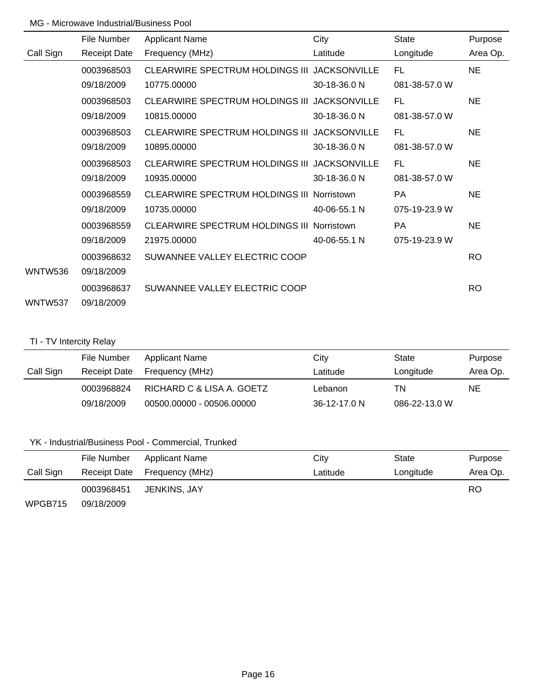|                | File Number         | <b>Applicant Name</b>                             | City         | <b>State</b>  | Purpose   |
|----------------|---------------------|---------------------------------------------------|--------------|---------------|-----------|
| Call Sign      | <b>Receipt Date</b> | Frequency (MHz)                                   | Latitude     | Longitude     | Area Op.  |
|                | 0003968503          | CLEARWIRE SPECTRUM HOLDINGS III JACKSONVILLE      |              | FL.           | <b>NE</b> |
|                | 09/18/2009          | 10775.00000                                       | 30-18-36.0 N | 081-38-57.0 W |           |
|                | 0003968503          | CLEARWIRE SPECTRUM HOLDINGS III JACKSONVILLE      |              | FL            | <b>NE</b> |
|                | 09/18/2009          | 10815.00000                                       | 30-18-36.0 N | 081-38-57.0 W |           |
|                | 0003968503          | CLEARWIRE SPECTRUM HOLDINGS III JACKSONVILLE      |              | FL.           | <b>NE</b> |
|                | 09/18/2009          | 10895.00000                                       | 30-18-36.0 N | 081-38-57.0 W |           |
|                | 0003968503          | CLEARWIRE SPECTRUM HOLDINGS III JACKSONVILLE      |              | <b>FL</b>     | <b>NE</b> |
|                | 09/18/2009          | 10935.00000                                       | 30-18-36.0 N | 081-38-57.0 W |           |
|                | 0003968559          | <b>CLEARWIRE SPECTRUM HOLDINGS III</b>            | Norristown   | <b>PA</b>     | <b>NE</b> |
|                | 09/18/2009          | 10735.00000                                       | 40-06-55.1 N | 075-19-23.9 W |           |
|                | 0003968559          | <b>CLEARWIRE SPECTRUM HOLDINGS III Norristown</b> |              | <b>PA</b>     | <b>NE</b> |
|                | 09/18/2009          | 21975.00000                                       | 40-06-55.1 N | 075-19-23.9 W |           |
|                | 0003968632          | SUWANNEE VALLEY ELECTRIC COOP                     |              |               | <b>RO</b> |
| <b>WNTW536</b> | 09/18/2009          |                                                   |              |               |           |
|                | 0003968637          | SUWANNEE VALLEY ELECTRIC COOP                     |              |               | <b>RO</b> |
| WNTW537        | 09/18/2009          |                                                   |              |               |           |

# TI - TV Intercity Relay

|           | File Number         | Applicant Name            | City         | State         | Purpose  |
|-----------|---------------------|---------------------------|--------------|---------------|----------|
| Call Sign | <b>Receipt Date</b> | Frequency (MHz)           | Latitude     | Longitude     | Area Op. |
|           | 0003968824          | RICHARD C & LISA A. GOETZ | Lebanon      | TN            | NE.      |
|           | 09/18/2009          | 00500.00000 - 00506.00000 | 36-12-17.0 N | 086-22-13.0 W |          |

## YK - Industrial/Business Pool - Commercial, Trunked

|           | File Number | Applicant Name               | City     | State     | Purpose   |
|-----------|-------------|------------------------------|----------|-----------|-----------|
| Call Sign |             | Receipt Date Frequency (MHz) | Latitude | Longitude | Area Op.  |
|           | 0003968451  | JENKINS. JAY                 |          |           | <b>RO</b> |
| WPGB715   | 09/18/2009  |                              |          |           |           |